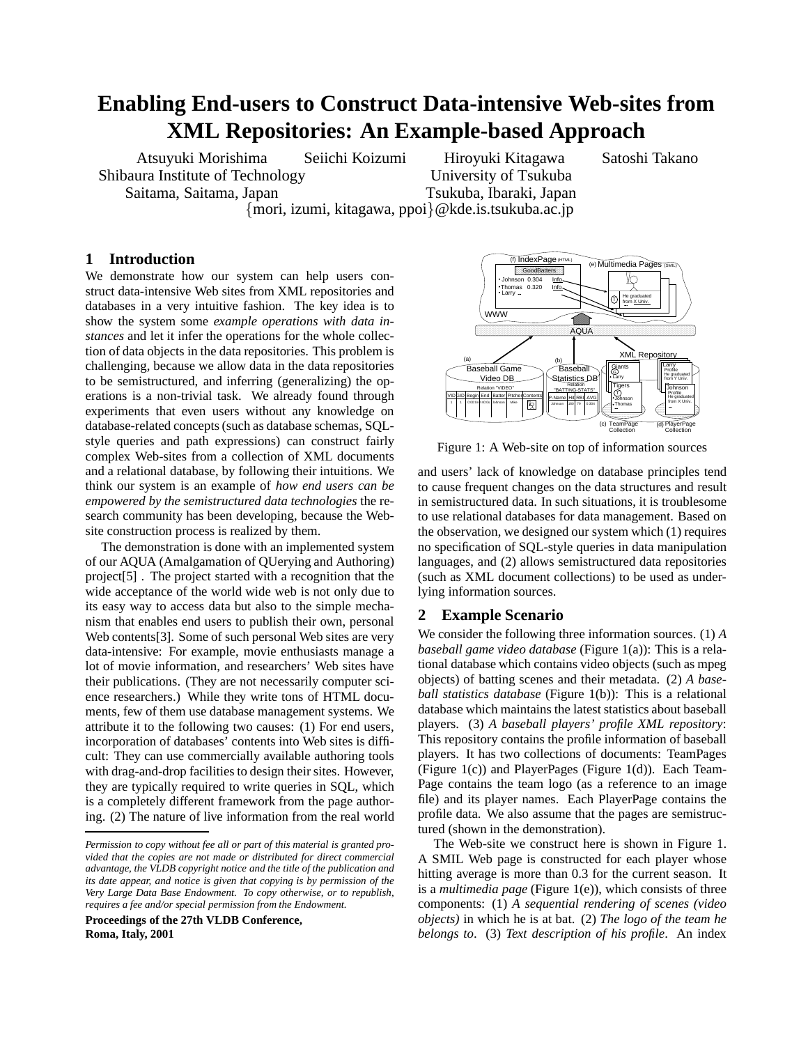# **Enabling End-users to Construct Data-intensive Web-sites from XML Repositories: An Example-based Approach**

Atsuyuki Morishima Shibaura Institute of Technology Saitama, Saitama, Japan

Seiichi Koizumi Hiroyuki Kitagawa Satoshi Takano University of Tsukuba Tsukuba, Ibaraki, Japan

*{*mori, izumi, kitagawa, ppoi*}*@kde.is.tsukuba.ac.jp

### **1 Introduction**

We demonstrate how our system can help users construct data-intensive Web sites from XML repositories and databases in a very intuitive fashion. The key idea is to show the system some *example operations with data instances* and let it infer the operations for the whole collection of data objects in the data repositories. This problem is challenging, because we allow data in the data repositories to be semistructured, and inferring (generalizing) the operations is a non-trivial task. We already found through experiments that even users without any knowledge on database-related concepts (such as database schemas, SQLstyle queries and path expressions) can construct fairly complex Web-sites from a collection of XML documents and a relational database, by following their intuitions. We think our system is an example of *how end users can be empowered by the semistructured data technologies* the research community has been developing, because the Website construction process is realized by them.

The demonstration is done with an implemented system of our AQUA (Amalgamation of QUerying and Authoring) project[5] . The project started with a recognition that the wide acceptance of the world wide web is not only due to its easy way to access data but also to the simple mechanism that enables end users to publish their own, personal Web contents<sup>[3]</sup>. Some of such personal Web sites are very data-intensive: For example, movie enthusiasts manage a lot of movie information, and researchers' Web sites have their publications. (They are not necessarily computer science researchers.) While they write tons of HTML documents, few of them use database management systems. We attribute it to the following two causes: (1) For end users, incorporation of databases' contents into Web sites is difficult: They can use commercially available authoring tools with drag-and-drop facilities to design their sites. However, they are typically required to write queries in SQL, which is a completely different framework from the page authoring. (2) The nature of live information from the real world

**Proceedings of the 27th VLDB Conference, Roma, Italy, 2001**



Figure 1: A Web-site on top of information sources

and users' lack of knowledge on database principles tend to cause frequent changes on the data structures and result in semistructured data. In such situations, it is troublesome to use relational databases for data management. Based on the observation, we designed our system which (1) requires no specification of SQL-style queries in data manipulation languages, and (2) allows semistructured data repositories (such as XML document collections) to be used as underlying information sources.

#### **2 Example Scenario**

We consider the following three information sources. (1) *A baseball game video database* (Figure 1(a)): This is a relational database which contains video objects (such as mpeg objects) of batting scenes and their metadata. (2) *A baseball statistics database* (Figure 1(b)): This is a relational database which maintains the latest statistics about baseball players. (3) *A baseball players' profile XML repository*: This repository contains the profile information of baseball players. It has two collections of documents: TeamPages (Figure 1(c)) and PlayerPages (Figure 1(d)). Each Team-Page contains the team logo (as a reference to an image file) and its player names. Each PlayerPage contains the profile data. We also assume that the pages are semistructured (shown in the demonstration).

The Web-site we construct here is shown in Figure 1. A SMIL Web page is constructed for each player whose hitting average is more than 0.3 for the current season. It is a *multimedia page* (Figure 1(e)), which consists of three components: (1) *A sequential rendering of scenes (video objects)* in which he is at bat. (2) *The logo of the team he belongs to*. (3) *Text description of his profile*. An index

*Permission to copy without fee all or part of this material is granted provided that the copies are not made or distributed for direct commercial advantage, the VLDB copyright notice and the title of the publication and its date appear, and notice is given that copying is by permission of the Very Large Data Base Endowment. To copy otherwise, or to republish, requires a fee and/or special permission from the Endowment.*